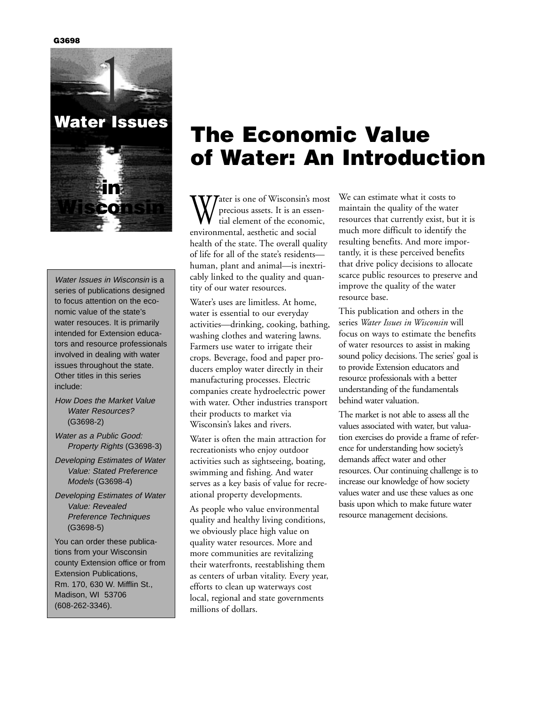

Water Issues in Wisconsin is a series of publications designed to focus attention on the economic value of the state's water resouces. It is primarily intended for Extension educators and resource professionals involved in dealing with water issues throughout the state. Other titles in this series include:

- How Does the Market Value Water Resources? (G3698-2)
- Water as a Public Good: Property Rights (G3698-3)
- Developing Estimates of Water Value: Stated Preference Models (G3698-4)
- Developing Estimates of Water Value: Revealed Preference Techniques (G3698-5)

You can order these publications from your Wisconsin county Extension office or from Extension Publications, Rm. 170, 630 W. Mifflin St., Madison, WI 53706 (608-262-3346).

# **The Economic Value of Water: An Introduction**

Water is one of Wisconsin's most<br>precious assets. It is an essen-<br>tial element of the economic,<br>expiration and a sial precious assets. It is an essential element of the economic, environmental, aesthetic and social health of the state. The overall quality of life for all of the state's residents human, plant and animal—is inextricably linked to the quality and quantity of our water resources.

Water's uses are limitless. At home, water is essential to our everyday activities—drinking, cooking, bathing, washing clothes and watering lawns. Farmers use water to irrigate their crops. Beverage, food and paper producers employ water directly in their manufacturing processes. Electric companies create hydroelectric power with water. Other industries transport their products to market via Wisconsin's lakes and rivers.

Water is often the main attraction for recreationists who enjoy outdoor activities such as sightseeing, boating, swimming and fishing. And water serves as a key basis of value for recreational property developments.

As people who value environmental quality and healthy living conditions, we obviously place high value on quality water resources. More and more communities are revitalizing their waterfronts, reestablishing them as centers of urban vitality. Every year, efforts to clean up waterways cost local, regional and state governments millions of dollars.

We can estimate what it costs to maintain the quality of the water resources that currently exist, but it is much more difficult to identify the resulting benefits. And more importantly, it is these perceived benefits that drive policy decisions to allocate scarce public resources to preserve and improve the quality of the water resource base.

This publication and others in the series *Water Issues in Wisconsin* will focus on ways to estimate the benefits of water resources to assist in making sound policy decisions. The series' goal is to provide Extension educators and resource professionals with a better understanding of the fundamentals behind water valuation.

The market is not able to assess all the values associated with water, but valuation exercises do provide a frame of reference for understanding how society's demands affect water and other resources. Our continuing challenge is to increase our knowledge of how society values water and use these values as one basis upon which to make future water resource management decisions.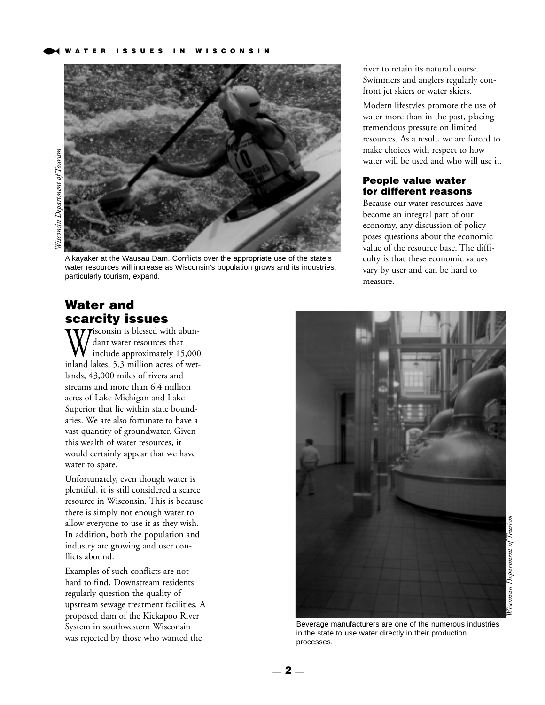

A kayaker at the Wausau Dam. Conflicts over the appropriate use of the state's water resources will increase as Wisconsin's population grows and its industries, particularly tourism, expand.

river to retain its natural course. Swimmers and anglers regularly confront jet skiers or water skiers.

Modern lifestyles promote the use of water more than in the past, placing tremendous pressure on limited resources. As a result, we are forced to make choices with respect to how water will be used and who will use it.

#### **People value water for different reasons**

Because our water resources have become an integral part of our economy, any discussion of policy poses questions about the economic value of the resource base. The difficulty is that these economic values vary by user and can be hard to measure.

## **Water and scarcity issues**<br>**TT77** isconsin is blessed with abun-

W isconsin is blessed with abun-<br>include approximately 15,000<br>include 5.2 million approximately 15,000 dant water resources that inland lakes, 5.3 million acres of wetlands, 43,000 miles of rivers and streams and more than 6.4 million acres of Lake Michigan and Lake Superior that lie within state boundaries. We are also fortunate to have a vast quantity of groundwater. Given this wealth of water resources, it would certainly appear that we have water to spare.

Unfortunately, even though water is plentiful, it is still considered a scarce resource in Wisconsin. This is because there is simply not enough water to allow everyone to use it as they wish. In addition, both the population and industry are growing and user conflicts abound.

Examples of such conflicts are not hard to find. Downstream residents regularly question the quality of upstream sewage treatment facilities. A proposed dam of the Kickapoo River System in southwestern Wisconsin was rejected by those who wanted the



Beverage manufacturers are one of the numerous industries in the state to use water directly in their production processes.

— **2** —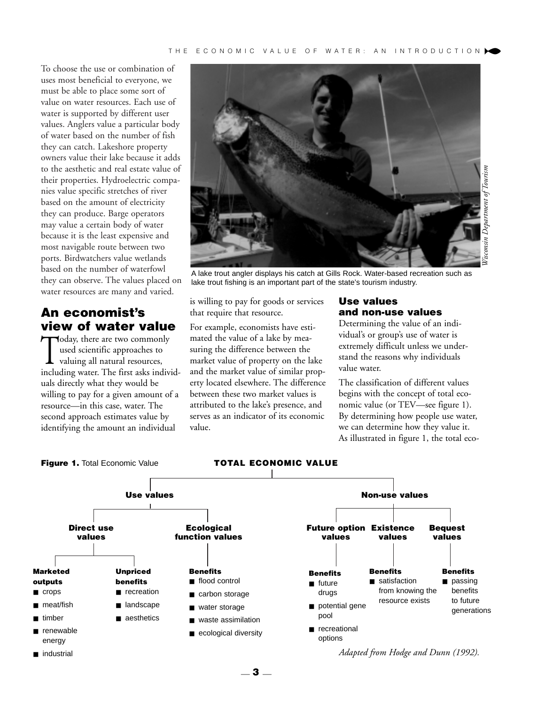To choose the use or combination of uses most beneficial to everyone, we must be able to place some sort of value on water resources. Each use of water is supported by different user values. Anglers value a particular body of water based on the number of fish they can catch. Lakeshore property owners value their lake because it adds to the aesthetic and real estate value of their properties. Hydroelectric companies value specific stretches of river based on the amount of electricity they can produce. Barge operators may value a certain body of water because it is the least expensive and most navigable route between two ports. Birdwatchers value wetlands based on the number of waterfowl they can observe. The values placed on water resources are many and varied.

### **An economist's view of water value**

Today, there are two commonly used scientific approaches to valuing all natural resources, including water. The first asks individuals directly what they would be willing to pay for a given amount of a resource—in this case, water. The second approach estimates value by identifying the amount an individual



A lake trout angler displays his catch at Gills Rock. Water-based recreation such as lake trout fishing is an important part of the state's tourism industry.

is willing to pay for goods or services that require that resource.

For example, economists have estimated the value of a lake by measuring the difference between the market value of property on the lake and the market value of similar property located elsewhere. The difference between these two market values is attributed to the lake's presence, and serves as an indicator of its economic value.

#### **Use values and non-use values**

Determining the value of an individual's or group's use of water is extremely difficult unless we understand the reasons why individuals value water.

The classification of different values begins with the concept of total economic value (or TEV—see figure 1). By determining how people use water, we can determine how they value it. As illustrated in figure 1, the total eco-



— **3** —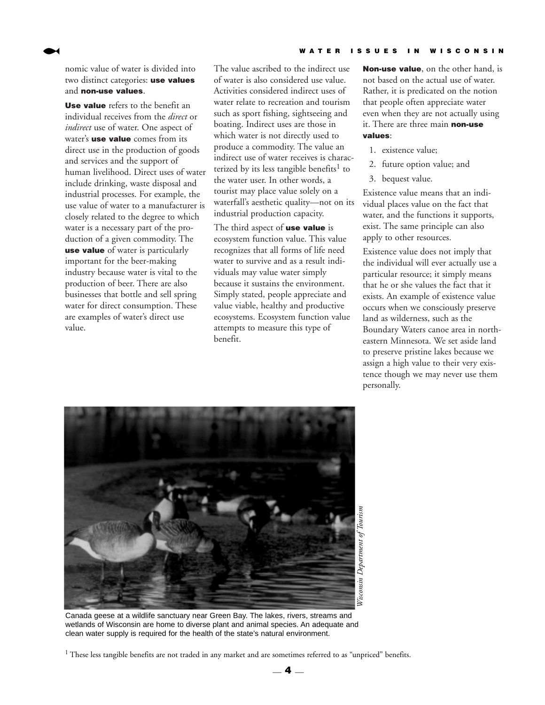### § **WATER ISSUES IN WISCONSIN**

nomic value of water is divided into two distinct categories: **use values** and **non-use values**.

**Use value** refers to the benefit an individual receives from the *direct* or *indirect* use of water. One aspect of water's **use value** comes from its direct use in the production of goods and services and the support of human livelihood. Direct uses of water include drinking, waste disposal and industrial processes. For example, the use value of water to a manufacturer is closely related to the degree to which water is a necessary part of the production of a given commodity. The **use value** of water is particularly important for the beer-making industry because water is vital to the production of beer. There are also businesses that bottle and sell spring water for direct consumption. These are examples of water's direct use value.

The value ascribed to the indirect use of water is also considered use value. Activities considered indirect uses of water relate to recreation and tourism such as sport fishing, sightseeing and boating. Indirect uses are those in which water is not directly used to produce a commodity. The value an indirect use of water receives is characterized by its less tangible benefits<sup>1</sup> to the water user. In other words, a tourist may place value solely on a waterfall's aesthetic quality—not on its industrial production capacity.

The third aspect of **use value** is ecosystem function value. This value recognizes that all forms of life need water to survive and as a result individuals may value water simply because it sustains the environment. Simply stated, people appreciate and value viable, healthy and productive ecosystems. Ecosystem function value attempts to measure this type of benefit.

**Non-use value**, on the other hand, is not based on the actual use of water. Rather, it is predicated on the notion that people often appreciate water even when they are not actually using it. There are three main **non-use values**:

- 1. existence value;
- 2. future option value; and
- 3. bequest value.

Existence value means that an individual places value on the fact that water, and the functions it supports, exist. The same principle can also apply to other resources.

Existence value does not imply that the individual will ever actually use a particular resource; it simply means that he or she values the fact that it exists. An example of existence value occurs when we consciously preserve land as wilderness, such as the Boundary Waters canoe area in northeastern Minnesota. We set aside land to preserve pristine lakes because we assign a high value to their very existence though we may never use them personally.



Canada geese at a wildlife sanctuary near Green Bay. The lakes, rivers, streams and wetlands of Wisconsin are home to diverse plant and animal species. An adequate and clean water supply is required for the health of the state's natural environment.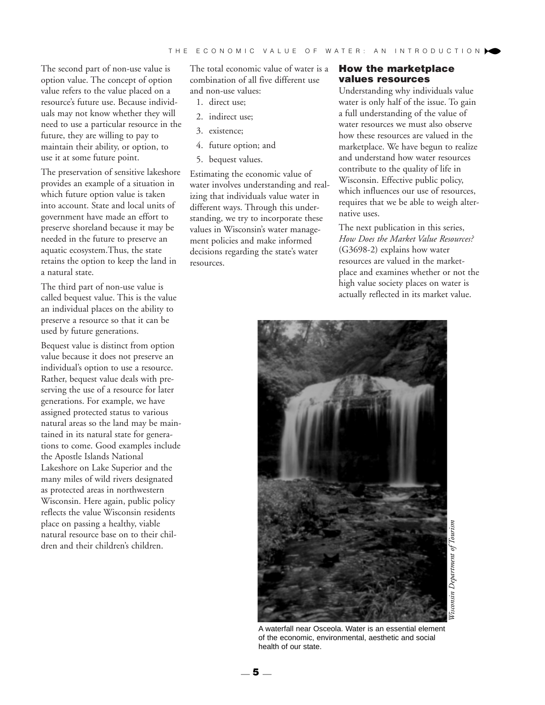The second part of non-use value is option value. The concept of option value refers to the value placed on a resource's future use. Because individuals may not know whether they will need to use a particular resource in the future, they are willing to pay to maintain their ability, or option, to use it at some future point.

The preservation of sensitive lakeshore provides an example of a situation in which future option value is taken into account. State and local units of government have made an effort to preserve shoreland because it may be needed in the future to preserve an aquatic ecosystem.Thus, the state retains the option to keep the land in a natural state.

The third part of non-use value is called bequest value. This is the value an individual places on the ability to preserve a resource so that it can be used by future generations.

Bequest value is distinct from option value because it does not preserve an individual's option to use a resource. Rather, bequest value deals with preserving the use of a resource for later generations. For example, we have assigned protected status to various natural areas so the land may be maintained in its natural state for generations to come. Good examples include the Apostle Islands National Lakeshore on Lake Superior and the many miles of wild rivers designated as protected areas in northwestern Wisconsin. Here again, public policy reflects the value Wisconsin residents place on passing a healthy, viable natural resource base on to their children and their children's children.

The total economic value of water is a combination of all five different use and non-use values:

- 1. direct use;
- 2. indirect use;
- 3. existence;
- 4. future option; and
- 5. bequest values.

Estimating the economic value of water involves understanding and realizing that individuals value water in different ways. Through this understanding, we try to incorporate these values in Wisconsin's water management policies and make informed decisions regarding the state's water resources.

#### **How the marketplace values resources**

Understanding why individuals value water is only half of the issue. To gain a full understanding of the value of water resources we must also observe how these resources are valued in the marketplace. We have begun to realize and understand how water resources contribute to the quality of life in Wisconsin. Effective public policy, which influences our use of resources, requires that we be able to weigh alternative uses.

The next publication in this series, *How Does the Market Value Resources?* (G3698-2) explains how water resources are valued in the marketplace and examines whether or not the high value society places on water is actually reflected in its market value.



A waterfall near Osceola. Water is an essential element of the economic, environmental, aesthetic and social health of our state.

— **5** —